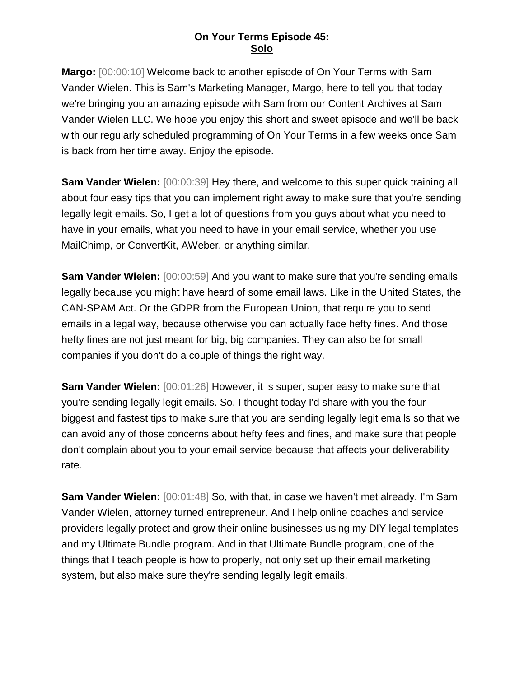**Margo:** [00:00:10] Welcome back to another episode of On Your Terms with Sam Vander Wielen. This is Sam's Marketing Manager, Margo, here to tell you that today we're bringing you an amazing episode with Sam from our Content Archives at Sam Vander Wielen LLC. We hope you enjoy this short and sweet episode and we'll be back with our regularly scheduled programming of On Your Terms in a few weeks once Sam is back from her time away. Enjoy the episode.

**Sam Vander Wielen:** [00:00:39] Hey there, and welcome to this super quick training all about four easy tips that you can implement right away to make sure that you're sending legally legit emails. So, I get a lot of questions from you guys about what you need to have in your emails, what you need to have in your email service, whether you use MailChimp, or ConvertKit, AWeber, or anything similar.

**Sam Vander Wielen:** [00:00:59] And you want to make sure that you're sending emails legally because you might have heard of some email laws. Like in the United States, the CAN-SPAM Act. Or the GDPR from the European Union, that require you to send emails in a legal way, because otherwise you can actually face hefty fines. And those hefty fines are not just meant for big, big companies. They can also be for small companies if you don't do a couple of things the right way.

**Sam Vander Wielen:** [00:01:26] However, it is super, super easy to make sure that you're sending legally legit emails. So, I thought today I'd share with you the four biggest and fastest tips to make sure that you are sending legally legit emails so that we can avoid any of those concerns about hefty fees and fines, and make sure that people don't complain about you to your email service because that affects your deliverability rate.

**Sam Vander Wielen:** [00:01:48] So, with that, in case we haven't met already, I'm Sam Vander Wielen, attorney turned entrepreneur. And I help online coaches and service providers legally protect and grow their online businesses using my DIY legal templates and my Ultimate Bundle program. And in that Ultimate Bundle program, one of the things that I teach people is how to properly, not only set up their email marketing system, but also make sure they're sending legally legit emails.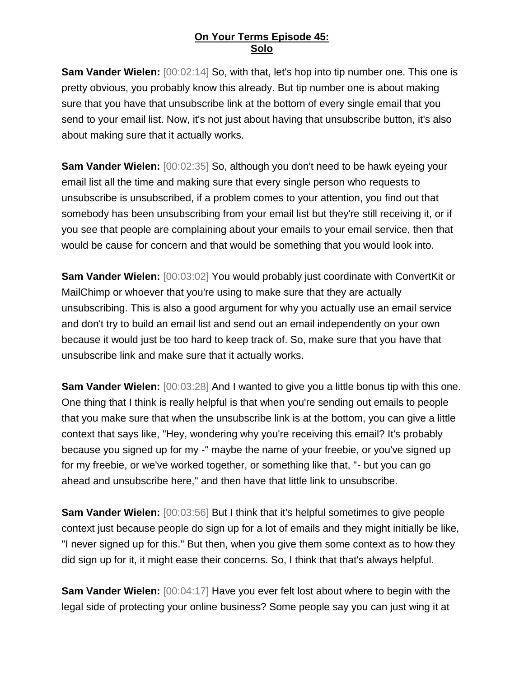**Sam Vander Wielen:** [00:02:14] So, with that, let's hop into tip number one. This one is pretty obvious, you probably know this already. But tip number one is about making sure that you have that unsubscribe link at the bottom of every single email that you send to your email list. Now, it's not just about having that unsubscribe button, it's also about making sure that it actually works.

**Sam Vander Wielen:** [00:02:35] So, although you don't need to be hawk eyeing your email list all the time and making sure that every single person who requests to unsubscribe is unsubscribed, if a problem comes to your attention, you find out that somebody has been unsubscribing from your email list but they're still receiving it, or if you see that people are complaining about your emails to your email service, then that would be cause for concern and that would be something that you would look into.

**Sam Vander Wielen:** [00:03:02] You would probably just coordinate with ConvertKit or MailChimp or whoever that you're using to make sure that they are actually unsubscribing. This is also a good argument for why you actually use an email service and don't try to build an email list and send out an email independently on your own because it would just be too hard to keep track of. So, make sure that you have that unsubscribe link and make sure that it actually works.

**Sam Vander Wielen:** [00:03:28] And I wanted to give you a little bonus tip with this one. One thing that I think is really helpful is that when you're sending out emails to people that you make sure that when the unsubscribe link is at the bottom, you can give a little context that says like, "Hey, wondering why you're receiving this email? It's probably because you signed up for my -" maybe the name of your freebie, or you've signed up for my freebie, or we've worked together, or something like that, "- but you can go ahead and unsubscribe here," and then have that little link to unsubscribe.

**Sam Vander Wielen:** [00:03:56] But I think that it's helpful sometimes to give people context just because people do sign up for a lot of emails and they might initially be like, "I never signed up for this." But then, when you give them some context as to how they did sign up for it, it might ease their concerns. So, I think that that's always helpful.

**Sam Vander Wielen:**  $[00:04:17]$  Have you ever felt lost about where to begin with the legal side of protecting your online business? Some people say you can just wing it at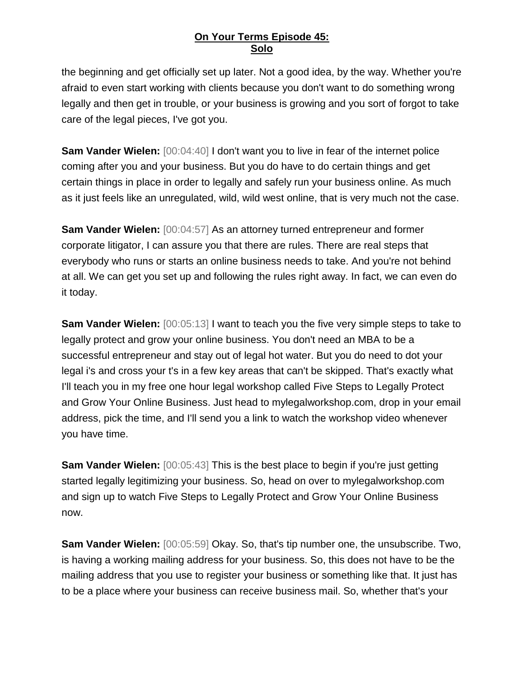the beginning and get officially set up later. Not a good idea, by the way. Whether you're afraid to even start working with clients because you don't want to do something wrong legally and then get in trouble, or your business is growing and you sort of forgot to take care of the legal pieces, I've got you.

**Sam Vander Wielen:**  $[00:04:40]$  I don't want you to live in fear of the internet police coming after you and your business. But you do have to do certain things and get certain things in place in order to legally and safely run your business online. As much as it just feels like an unregulated, wild, wild west online, that is very much not the case.

**Sam Vander Wielen:** [00:04:57] As an attorney turned entrepreneur and former corporate litigator, I can assure you that there are rules. There are real steps that everybody who runs or starts an online business needs to take. And you're not behind at all. We can get you set up and following the rules right away. In fact, we can even do it today.

**Sam Vander Wielen:** [00:05:13] I want to teach you the five very simple steps to take to legally protect and grow your online business. You don't need an MBA to be a successful entrepreneur and stay out of legal hot water. But you do need to dot your legal i's and cross your t's in a few key areas that can't be skipped. That's exactly what I'll teach you in my free one hour legal workshop called Five Steps to Legally Protect and Grow Your Online Business. Just head to mylegalworkshop.com, drop in your email address, pick the time, and I'll send you a link to watch the workshop video whenever you have time.

**Sam Vander Wielen:** [00:05:43] This is the best place to begin if you're just getting started legally legitimizing your business. So, head on over to mylegalworkshop.com and sign up to watch Five Steps to Legally Protect and Grow Your Online Business now.

**Sam Vander Wielen:** [00:05:59] Okay. So, that's tip number one, the unsubscribe. Two, is having a working mailing address for your business. So, this does not have to be the mailing address that you use to register your business or something like that. It just has to be a place where your business can receive business mail. So, whether that's your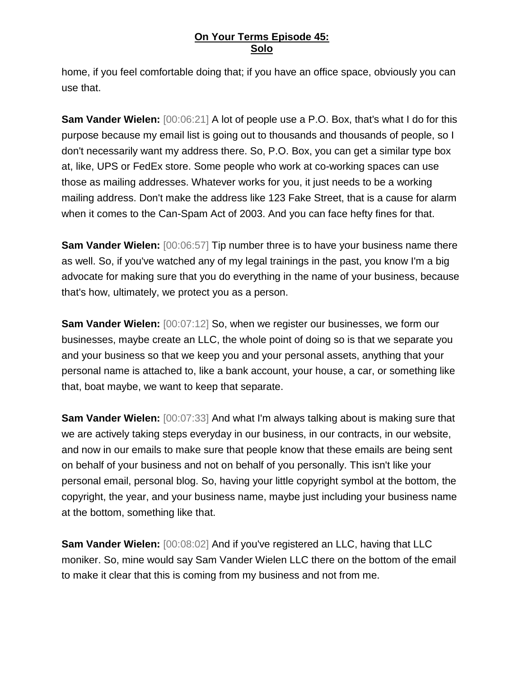home, if you feel comfortable doing that; if you have an office space, obviously you can use that.

**Sam Vander Wielen:**  $[00:06:21]$  A lot of people use a P.O. Box, that's what I do for this purpose because my email list is going out to thousands and thousands of people, so I don't necessarily want my address there. So, P.O. Box, you can get a similar type box at, like, UPS or FedEx store. Some people who work at co-working spaces can use those as mailing addresses. Whatever works for you, it just needs to be a working mailing address. Don't make the address like 123 Fake Street, that is a cause for alarm when it comes to the Can-Spam Act of 2003. And you can face hefty fines for that.

**Sam Vander Wielen:** [00:06:57] Tip number three is to have your business name there as well. So, if you've watched any of my legal trainings in the past, you know I'm a big advocate for making sure that you do everything in the name of your business, because that's how, ultimately, we protect you as a person.

**Sam Vander Wielen:** [00:07:12] So, when we register our businesses, we form our businesses, maybe create an LLC, the whole point of doing so is that we separate you and your business so that we keep you and your personal assets, anything that your personal name is attached to, like a bank account, your house, a car, or something like that, boat maybe, we want to keep that separate.

**Sam Vander Wielen:** [00:07:33] And what I'm always talking about is making sure that we are actively taking steps everyday in our business, in our contracts, in our website, and now in our emails to make sure that people know that these emails are being sent on behalf of your business and not on behalf of you personally. This isn't like your personal email, personal blog. So, having your little copyright symbol at the bottom, the copyright, the year, and your business name, maybe just including your business name at the bottom, something like that.

**Sam Vander Wielen:** [00:08:02] And if you've registered an LLC, having that LLC moniker. So, mine would say Sam Vander Wielen LLC there on the bottom of the email to make it clear that this is coming from my business and not from me.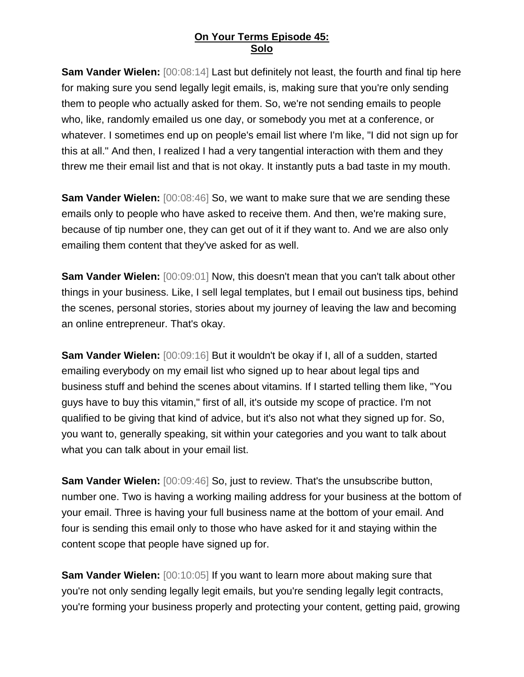**Sam Vander Wielen:** [00:08:14] Last but definitely not least, the fourth and final tip here for making sure you send legally legit emails, is, making sure that you're only sending them to people who actually asked for them. So, we're not sending emails to people who, like, randomly emailed us one day, or somebody you met at a conference, or whatever. I sometimes end up on people's email list where I'm like, "I did not sign up for this at all." And then, I realized I had a very tangential interaction with them and they threw me their email list and that is not okay. It instantly puts a bad taste in my mouth.

**Sam Vander Wielen:** [00:08:46] So, we want to make sure that we are sending these emails only to people who have asked to receive them. And then, we're making sure, because of tip number one, they can get out of it if they want to. And we are also only emailing them content that they've asked for as well.

**Sam Vander Wielen:** [00:09:01] Now, this doesn't mean that you can't talk about other things in your business. Like, I sell legal templates, but I email out business tips, behind the scenes, personal stories, stories about my journey of leaving the law and becoming an online entrepreneur. That's okay.

**Sam Vander Wielen:** [00:09:16] But it wouldn't be okay if I, all of a sudden, started emailing everybody on my email list who signed up to hear about legal tips and business stuff and behind the scenes about vitamins. If I started telling them like, "You guys have to buy this vitamin," first of all, it's outside my scope of practice. I'm not qualified to be giving that kind of advice, but it's also not what they signed up for. So, you want to, generally speaking, sit within your categories and you want to talk about what you can talk about in your email list.

**Sam Vander Wielen:** [00:09:46] So, just to review. That's the unsubscribe button, number one. Two is having a working mailing address for your business at the bottom of your email. Three is having your full business name at the bottom of your email. And four is sending this email only to those who have asked for it and staying within the content scope that people have signed up for.

**Sam Vander Wielen:** [00:10:05] If you want to learn more about making sure that you're not only sending legally legit emails, but you're sending legally legit contracts, you're forming your business properly and protecting your content, getting paid, growing